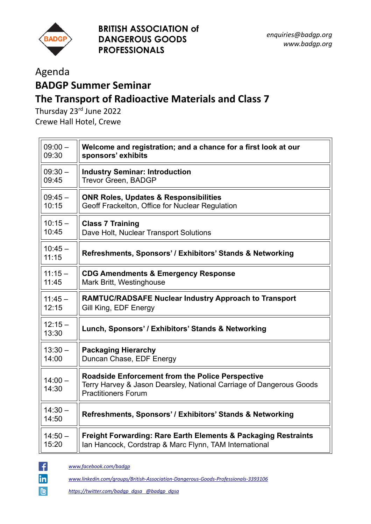

## Agenda

## **BADGP Summer Seminar The Transport of Radioactive Materials and Class 7**

Thursday 23<sup>rd</sup> June 2022 Crewe Hall Hotel, Crewe

| $09:00 -$          | Welcome and registration; and a chance for a first look at our                                                                                               |
|--------------------|--------------------------------------------------------------------------------------------------------------------------------------------------------------|
| 09:30              | sponsors' exhibits                                                                                                                                           |
| $09:30 -$          | <b>Industry Seminar: Introduction</b>                                                                                                                        |
| 09:45              | Trevor Green, BADGP                                                                                                                                          |
| $09:45-$           | <b>ONR Roles, Updates &amp; Responsibilities</b>                                                                                                             |
| 10:15              | Geoff Frackelton, Office for Nuclear Regulation                                                                                                              |
| $10:15 -$          | <b>Class 7 Training</b>                                                                                                                                      |
| 10:45              | Dave Holt, Nuclear Transport Solutions                                                                                                                       |
| $10:45 -$<br>11:15 | Refreshments, Sponsors' / Exhibitors' Stands & Networking                                                                                                    |
| $11:15 -$          | <b>CDG Amendments &amp; Emergency Response</b>                                                                                                               |
| 11:45              | Mark Britt, Westinghouse                                                                                                                                     |
| $11:45 -$          | <b>RAMTUC/RADSAFE Nuclear Industry Approach to Transport</b>                                                                                                 |
| 12:15              | Gill King, EDF Energy                                                                                                                                        |
| $12:15 -$<br>13:30 | Lunch, Sponsors' / Exhibitors' Stands & Networking                                                                                                           |
| $13:30 -$          | <b>Packaging Hierarchy</b>                                                                                                                                   |
| 14:00              | Duncan Chase, EDF Energy                                                                                                                                     |
| $14:00 -$<br>14:30 | <b>Roadside Enforcement from the Police Perspective</b><br>Terry Harvey & Jason Dearsley, National Carriage of Dangerous Goods<br><b>Practitioners Forum</b> |
| $14:30 -$<br>14:50 | Refreshments, Sponsors' / Exhibitors' Stands & Networking                                                                                                    |
| $14:50 -$          | <b>Freight Forwarding: Rare Earth Elements &amp; Packaging Restraints</b>                                                                                    |
| 15:20              | Ian Hancock, Cordstrap & Marc Flynn, TAM International                                                                                                       |



*www.facebook.com/badgp*

*www.linkedin.com/groups/British-Association-Dangerous-Goods-Professionals-3393106*